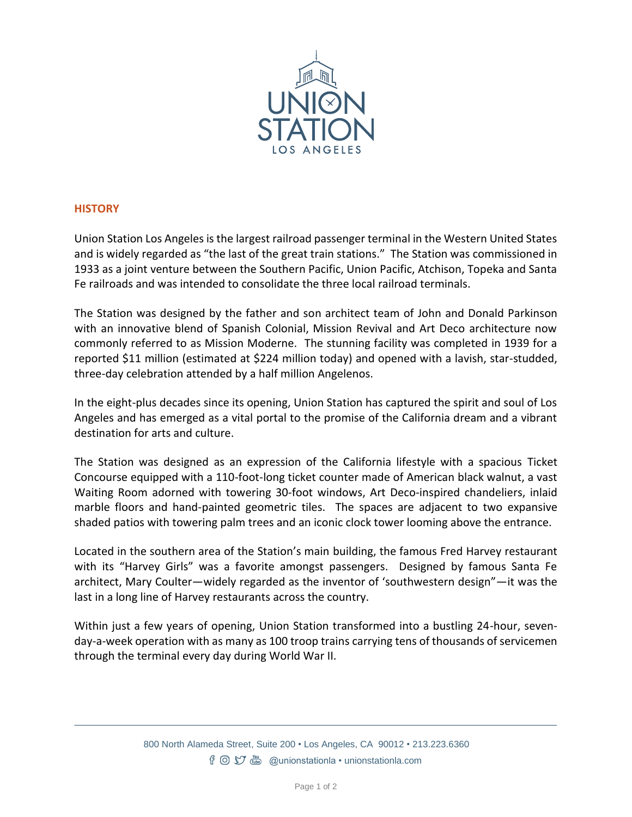

## **HISTORY**

Union Station Los Angeles is the largest railroad passenger terminal in the Western United States and is widely regarded as "the last of the great train stations." The Station was commissioned in 1933 as a joint venture between the Southern Pacific, Union Pacific, Atchison, Topeka and Santa Fe railroads and was intended to consolidate the three local railroad terminals.

The Station was designed by the father and son architect team of John and Donald Parkinson with an innovative blend of Spanish Colonial, Mission Revival and Art Deco architecture now commonly referred to as Mission Moderne. The stunning facility was completed in 1939 for a reported \$11 million (estimated at \$224 million today) and opened with a lavish, star-studded, three-day celebration attended by a half million Angelenos.

In the eight-plus decades since its opening, Union Station has captured the spirit and soul of Los Angeles and has emerged as a vital portal to the promise of the California dream and a vibrant destination for arts and culture.

The Station was designed as an expression of the California lifestyle with a spacious Ticket Concourse equipped with a 110-foot-long ticket counter made of American black walnut, a vast Waiting Room adorned with towering 30-foot windows, Art Deco-inspired chandeliers, inlaid marble floors and hand-painted geometric tiles. The spaces are adjacent to two expansive shaded patios with towering palm trees and an iconic clock tower looming above the entrance.

Located in the southern area of the Station's main building, the famous Fred Harvey restaurant with its "Harvey Girls" was a favorite amongst passengers. Designed by famous Santa Fe architect, Mary Coulter—widely regarded as the inventor of 'southwestern design"—it was the last in a long line of Harvey restaurants across the country.

Within just a few years of opening, Union Station transformed into a bustling 24-hour, sevenday-a-week operation with as many as 100 troop trains carrying tens of thousands of servicemen through the terminal every day during World War II.